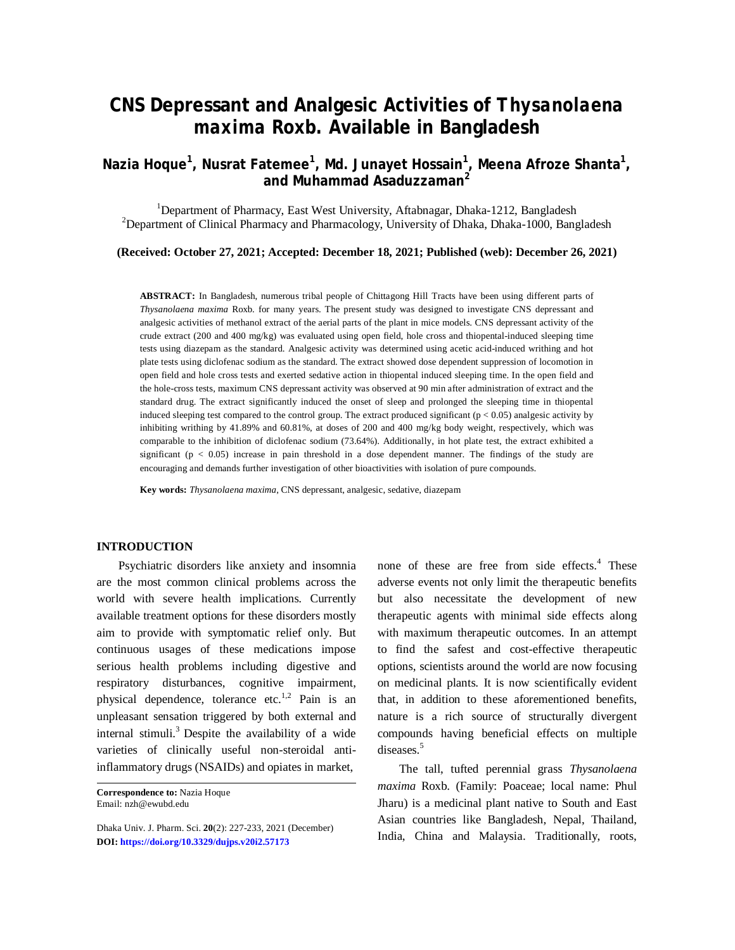# **CNS Depressant and Analgesic Activities of** *Thysanolaena maxima* **Roxb. Available in Bangladesh**

**Nazia Hoque<sup>1</sup> , Nusrat Fatemee<sup>1</sup> , Md. Junayet Hossain<sup>1</sup> , Meena Afroze Shanta<sup>1</sup> , and Muhammad Asaduzzaman<sup>2</sup>**

<sup>1</sup>Department of Pharmacy, East West University, Aftabnagar, Dhaka-1212, Bangladesh  $2$ Department of Clinical Pharmacy and Pharmacology, University of Dhaka, Dhaka-1000, Bangladesh

**(Received: October 27, 2021; Accepted: December 18, 2021; Published (web): December 26, 2021)**

**ABSTRACT:** In Bangladesh, numerous tribal people of Chittagong Hill Tracts have been using different parts of *Thysanolaena maxima* Roxb. for many years. The present study was designed to investigate CNS depressant and analgesic activities of methanol extract of the aerial parts of the plant in mice models. CNS depressant activity of the crude extract (200 and 400 mg/kg) was evaluated using open field, hole cross and thiopental-induced sleeping time tests using diazepam as the standard. Analgesic activity was determined using acetic acid-induced writhing and hot plate tests using diclofenac sodium as the standard. The extract showed dose dependent suppression of locomotion in open field and hole cross tests and exerted sedative action in thiopental induced sleeping time. In the open field and the hole-cross tests, maximum CNS depressant activity was observed at 90 min after administration of extract and the standard drug. The extract significantly induced the onset of sleep and prolonged the sleeping time in thiopental induced sleeping test compared to the control group. The extract produced significant ( $p < 0.05$ ) analgesic activity by inhibiting writhing by 41.89% and 60.81%, at doses of 200 and 400 mg/kg body weight, respectively, which was comparable to the inhibition of diclofenac sodium (73.64%). Additionally, in hot plate test, the extract exhibited a significant ( $p < 0.05$ ) increase in pain threshold in a dose dependent manner. The findings of the study are encouraging and demands further investigation of other bioactivities with isolation of pure compounds.

**Key words:** *Thysanolaena maxima*, CNS depressant, analgesic, sedative, diazepam

# **INTRODUCTION**

Psychiatric disorders like anxiety and insomnia are the most common clinical problems across the world with severe health implications. Currently available treatment options for these disorders mostly aim to provide with symptomatic relief only. But continuous usages of these medications impose serious health problems including digestive and respiratory disturbances, cognitive impairment, physical dependence, tolerance etc.<sup>1,2</sup> Pain is an unpleasant sensation triggered by both external and internal stimuli. <sup>3</sup>Despite the availability of a wide varieties of clinically useful non-steroidal antiinflammatory drugs (NSAIDs) and opiates in market,

none of these are free from side effects. <sup>4</sup> These adverse events not only limit the therapeutic benefits but also necessitate the development of new therapeutic agents with minimal side effects along with maximum therapeutic outcomes. In an attempt to find the safest and cost-effective therapeutic options, scientists around the world are now focusing on medicinal plants. It is now scientifically evident that, in addition to these aforementioned benefits, nature is a rich source of structurally divergent compounds having beneficial effects on multiple diseases.<sup>5</sup>

The tall, tufted perennial grass *Thysanolaena maxima* Roxb. (Family: Poaceae; local name: Phul Jharu) is a medicinal plant native to South and East Asian countries like Bangladesh, Nepal, Thailand, India, China and Malaysia. Traditionally, roots,

**Correspondence to:** Nazia Hoque Email: [nzh@ewubd.edu](mailto:nzh@ewubd.edu)

Dhaka Univ. J. Pharm. Sci. **20**(2): 227-233, 2021 (December) **DOI:<https://doi.org/10.3329/dujps.v20i2.57173>**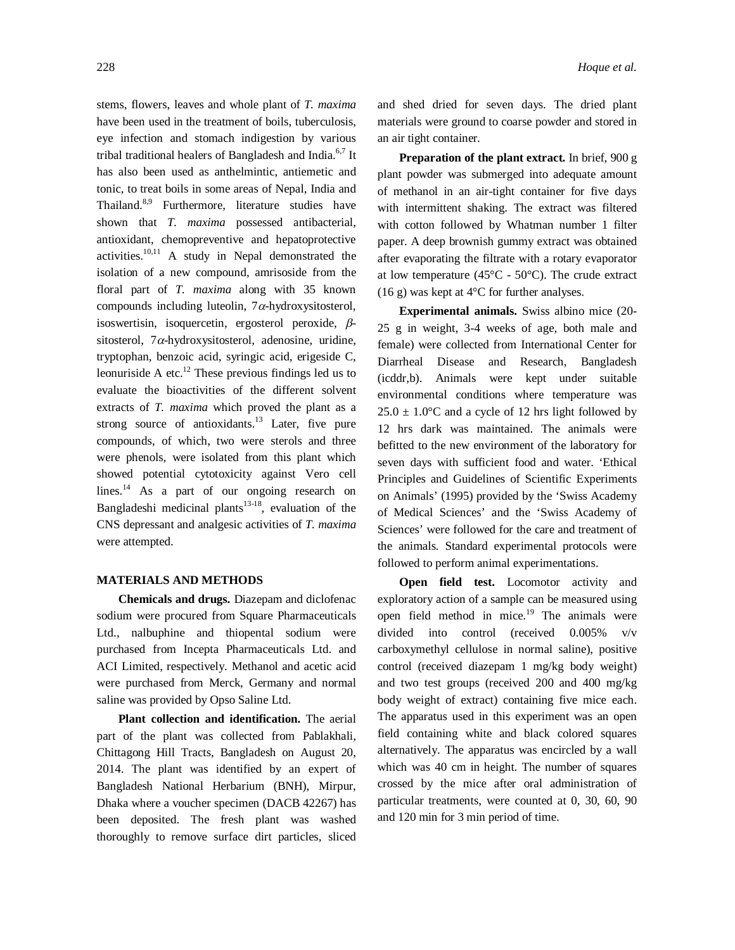stems, flowers, leaves and whole plant of *T. maxima* have been used in the treatment of boils, tuberculosis, eye infection and stomach indigestion by various tribal traditional healers of Bangladesh and India.<sup>6,7</sup> It has also been used as anthelmintic, antiemetic and tonic, to treat boils in some areas of Nepal, India and Thailand.<sup>8,9</sup> Furthermore, literature studies have shown that *T. maxima* possessed antibacterial, antioxidant, chemopreventive and hepatoprotective activities.<sup>10,11</sup> A study in Nepal demonstrated the isolation of a new compound, amrisoside from the floral part of *T. maxima* along with 35 known compounds including luteolin,  $7\alpha$ -hydroxysitosterol, isoswertisin, isoquercetin, ergosterol peroxide,  $\beta$ sitosterol, 7 $\alpha$ -hydroxysitosterol, adenosine, uridine, tryptophan, benzoic acid, syringic acid, erigeside C, leonuriside A etc. $^{12}$  These previous findings led us to evaluate the bioactivities of the different solvent extracts of *T. maxima* which proved the plant as a strong source of antioxidants.<sup>13</sup> Later, five pure compounds, of which, two were sterols and three were phenols, were isolated from this plant which showed potential cytotoxicity against Vero cell lines.<sup>14</sup> As a part of our ongoing research on Bangladeshi medicinal plants<sup>13-18</sup>, evaluation of the CNS depressant and analgesic activities of *T. maxima* were attempted.

#### **MATERIALS AND METHODS**

**Chemicals and drugs.** Diazepam and diclofenac sodium were procured from Square Pharmaceuticals Ltd., nalbuphine and thiopental sodium were purchased from Incepta Pharmaceuticals Ltd. and ACI Limited, respectively. Methanol and acetic acid were purchased from Merck, Germany and normal saline was provided by Opso Saline Ltd.

**Plant collection and identification.** The aerial part of the plant was collected from Pablakhali, Chittagong Hill Tracts, Bangladesh on August 20, 2014. The plant was identified by an expert of Bangladesh National Herbarium (BNH), Mirpur, Dhaka where a voucher specimen (DACB 42267) has been deposited. The fresh plant was washed thoroughly to remove surface dirt particles, sliced

and shed dried for seven days. The dried plant materials were ground to coarse powder and stored in an air tight container.

**Preparation of the plant extract.** In brief, 900 g plant powder was submerged into adequate amount of methanol in an air-tight container for five days with intermittent shaking. The extract was filtered with cotton followed by Whatman number 1 filter paper. A deep brownish gummy extract was obtained after evaporating the filtrate with a rotary evaporator at low temperature (45 $\degree$ C - 50 $\degree$ C). The crude extract (16 g) was kept at  $4^{\circ}$ C for further analyses.

**Experimental animals.** Swiss albino mice (20- 25 g in weight, 3-4 weeks of age, both male and female) were collected from International Center for Diarrheal Disease and Research, Bangladesh (icddr,b). Animals were kept under suitable environmental conditions where temperature was  $25.0 \pm 1.0$ °C and a cycle of 12 hrs light followed by 12 hrs dark was maintained. The animals were befitted to the new environment of the laboratory for seven days with sufficient food and water. 'Ethical Principles and Guidelines of Scientific Experiments on Animals' (1995) provided by the 'Swiss Academy of Medical Sciences' and the 'Swiss Academy of Sciences' were followed for the care and treatment of the animals. Standard experimental protocols were followed to perform animal experimentations.

**Open field test.** Locomotor activity and exploratory action of a sample can be measured using open field method in mice. <sup>19</sup> The animals were divided into control (received 0.005% v/v carboxymethyl cellulose in normal saline), positive control (received diazepam 1 mg/kg body weight) and two test groups (received 200 and 400 mg/kg body weight of extract) containing five mice each. The apparatus used in this experiment was an open field containing white and black colored squares alternatively. The apparatus was encircled by a wall which was 40 cm in height. The number of squares crossed by the mice after oral administration of particular treatments, were counted at 0, 30, 60, 90 and 120 min for 3 min period of time.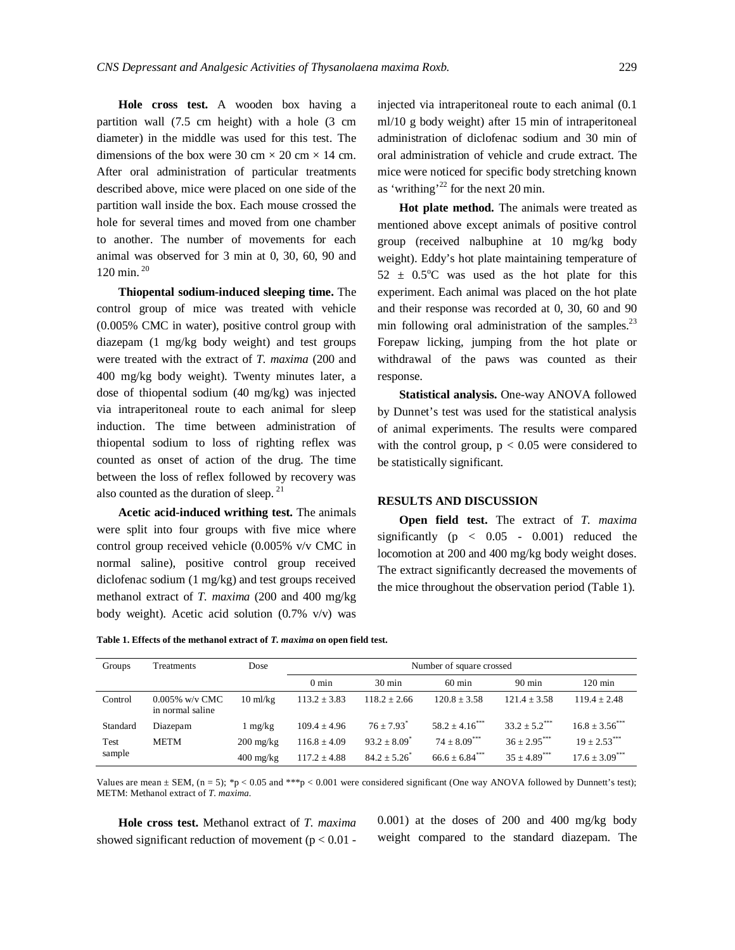**Hole cross test.** A wooden box having a partition wall (7.5 cm height) with a hole (3 cm diameter) in the middle was used for this test. The dimensions of the box were 30 cm  $\times$  20 cm  $\times$  14 cm. After oral administration of particular treatments described above, mice were placed on one side of the partition wall inside the box. Each mouse crossed the hole for several times and moved from one chamber to another. The number of movements for each animal was observed for 3 min at 0, 30, 60, 90 and 120 min. <sup>20</sup>

**Thiopental sodium-induced sleeping time.** The control group of mice was treated with vehicle (0.005% CMC in water), positive control group with diazepam (1 mg/kg body weight) and test groups were treated with the extract of *T. maxima* (200 and 400 mg/kg body weight). Twenty minutes later, a dose of thiopental sodium (40 mg/kg) was injected via intraperitoneal route to each animal for sleep induction. The time between administration of thiopental sodium to loss of righting reflex was counted as onset of action of the drug. The time between the loss of reflex followed by recovery was also counted as the duration of sleep.<sup>21</sup>

**Acetic acid-induced writhing test.** The animals were split into four groups with five mice where control group received vehicle (0.005% v/v CMC in normal saline), positive control group received diclofenac sodium (1 mg/kg) and test groups received methanol extract of *T. maxima* (200 and 400 mg/kg body weight). Acetic acid solution (0.7% v/v) was

injected via intraperitoneal route to each animal (0.1 ml/10 g body weight) after 15 min of intraperitoneal administration of diclofenac sodium and 30 min of oral administration of vehicle and crude extract. The mice were noticed for specific body stretching known as 'writhing'<sup>22</sup> for the next 20 min.

**Hot plate method.** The animals were treated as mentioned above except animals of positive control group (received nalbuphine at 10 mg/kg body weight). Eddy's hot plate maintaining temperature of  $52 \pm 0.5^{\circ}$ C was used as the hot plate for this experiment. Each animal was placed on the hot plate and their response was recorded at 0, 30, 60 and 90 min following oral administration of the samples.<sup>23</sup> Forepaw licking, jumping from the hot plate or withdrawal of the paws was counted as their response.

**Statistical analysis.** One-way ANOVA followed by Dunnet's test was used for the statistical analysis of animal experiments. The results were compared with the control group,  $p < 0.05$  were considered to be statistically significant.

## **RESULTS AND DISCUSSION**

**Open field test.** The extract of *T. maxima* significantly  $(p \lt 0.05 - 0.001)$  reduced the locomotion at 200 and 400 mg/kg body weight doses. The extract significantly decreased the movements of the mice throughout the observation period (Table 1).

| Table 1. Effects of the methanol extract of T. maxima on open field test. |  |  |
|---------------------------------------------------------------------------|--|--|
|---------------------------------------------------------------------------|--|--|

| Groups         | Treatments                            | Dose                | Number of square crossed |                          |                                 |                             |                                |
|----------------|---------------------------------------|---------------------|--------------------------|--------------------------|---------------------------------|-----------------------------|--------------------------------|
|                |                                       |                     | $0 \text{ min}$          | $30 \text{ min}$         | $60 \text{ min}$                | $90 \text{ min}$            | $120 \text{ min}$              |
| Control        | $0.005\%$ w/y CMC<br>in normal saline | $10 \text{ ml/kg}$  | $113.2 \pm 3.83$         | $118.2 \pm 2.66$         | $120.8 \pm 3.58$                | $121.4 + 3.58$              | $119.4 + 2.48$                 |
| Standard       | Diazepam                              | $1 \text{ mg/kg}$   | $109.4 \pm 4.96$         | $76 + 7.93$ <sup>*</sup> | $58.2 \pm 4.16$ <sup>****</sup> | $33.2 + 5.2$ <sup>***</sup> | $16.8 + 3.56$                  |
| Test<br>sample | <b>METM</b>                           | $200 \text{ mg/kg}$ | $116.8 \pm 4.09$         | $93.2 + 8.09^*$          | $74 + 8.09***$                  | $36 + 2.95***$              | $19 + 2.53***$                 |
|                |                                       | $400 \text{ mg/kg}$ | $117.2 \pm 4.88$         | $84.2 + 5.26^*$          | $66.6 \pm 6.84***$              | $35 + 4.89$ <sup>***</sup>  | $17.6 \pm 3.09$ <sup>***</sup> |

Values are mean  $\pm$  SEM, (n = 5); \*p < 0.05 and \*\*\*p < 0.001 were considered significant (One way ANOVA followed by Dunnett's test); METM: Methanol extract of *T. maxima.*

**Hole cross test.** Methanol extract of *T. maxima* showed significant reduction of movement ( $p < 0.01$  - 0.001) at the doses of 200 and 400 mg/kg body weight compared to the standard diazepam. The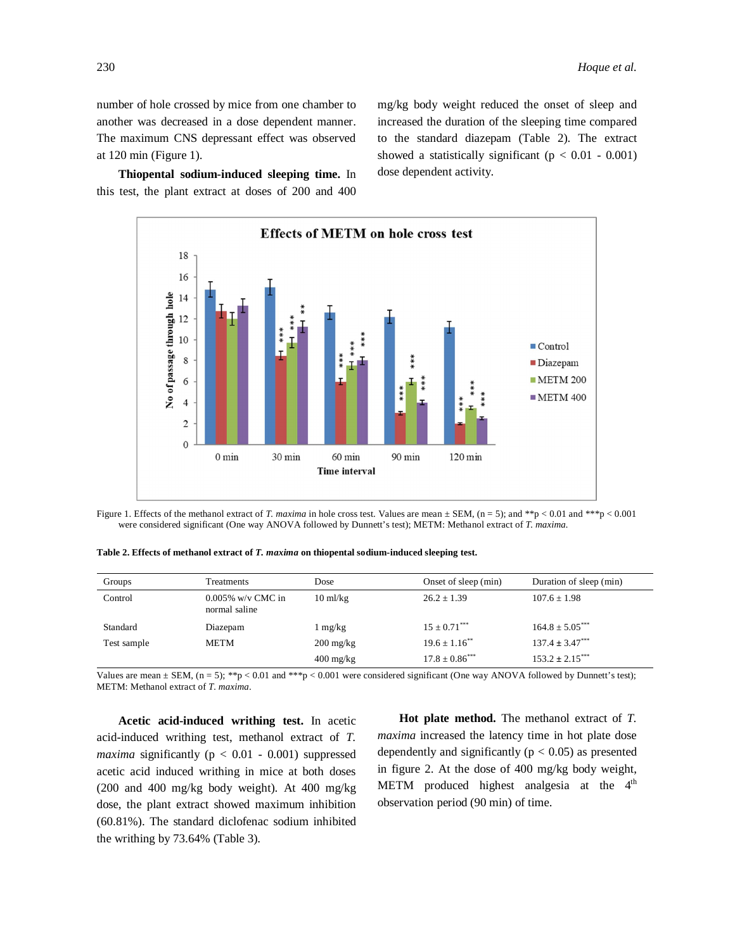number of hole crossed by mice from one chamber to another was decreased in a dose dependent manner. The maximum CNS depressant effect was observed at 120 min (Figure 1).

**Thiopental sodium-induced sleeping time.** In this test, the plant extract at doses of 200 and 400 mg/kg body weight reduced the onset of sleep and increased the duration of the sleeping time compared to the standard diazepam (Table 2). The extract showed a statistically significant ( $p < 0.01 - 0.001$ ) dose dependent activity.



Figure 1. Effects of the methanol extract of *T. maxima* in hole cross test. Values are mean  $\pm$  SEM, (n = 5); and \*\*p < 0.01 and \*\*\*p < 0.001 were considered significant (One way ANOVA followed by Dunnett's test); METM: Methanol extract of *T. maxima.*

| Groups      | Treatments                            | Dose                | Onset of sleep (min)           | Duration of sleep (min)          |
|-------------|---------------------------------------|---------------------|--------------------------------|----------------------------------|
| Control     | $0.005\%$ w/v CMC in<br>normal saline | $10 \text{ ml/kg}$  | $26.2 \pm 1.39$                | $107.6 + 1.98$                   |
| Standard    | Diazepam                              | l mg/kg             | $15 \pm 0.71$ ***              | $164.8 \pm 5.05$ ***             |
| Test sample | METM                                  | $200 \text{ mg/kg}$ | $19.6 \pm 1.16$ <sup>**</sup>  | $137.4 \pm 3.47***$              |
|             |                                       | $400 \text{ mg/kg}$ | $17.8 \pm 0.86$ <sup>***</sup> | $153.2 \pm 2.15$ <sup>****</sup> |

**Table 2. Effects of methanol extract of** *T. maxima* **on thiopental sodium-induced sleeping test.**

Values are mean  $\pm$  SEM, (n = 5); \*\*p < 0.01 and \*\*\*p < 0.001 were considered significant (One way ANOVA followed by Dunnett's test); METM: Methanol extract of *T. maxima*.

**Acetic acid-induced writhing test.** In acetic acid-induced writhing test, methanol extract of *T. maxima* significantly ( $p < 0.01 - 0.001$ ) suppressed acetic acid induced writhing in mice at both doses (200 and 400 mg/kg body weight). At 400 mg/kg dose, the plant extract showed maximum inhibition (60.81%). The standard diclofenac sodium inhibited the writhing by 73.64% (Table 3).

**Hot plate method.** The methanol extract of *T. maxima* increased the latency time in hot plate dose dependently and significantly ( $p < 0.05$ ) as presented in figure 2. At the dose of 400 mg/kg body weight, METM produced highest analgesia at the  $4<sup>th</sup>$ observation period (90 min) of time.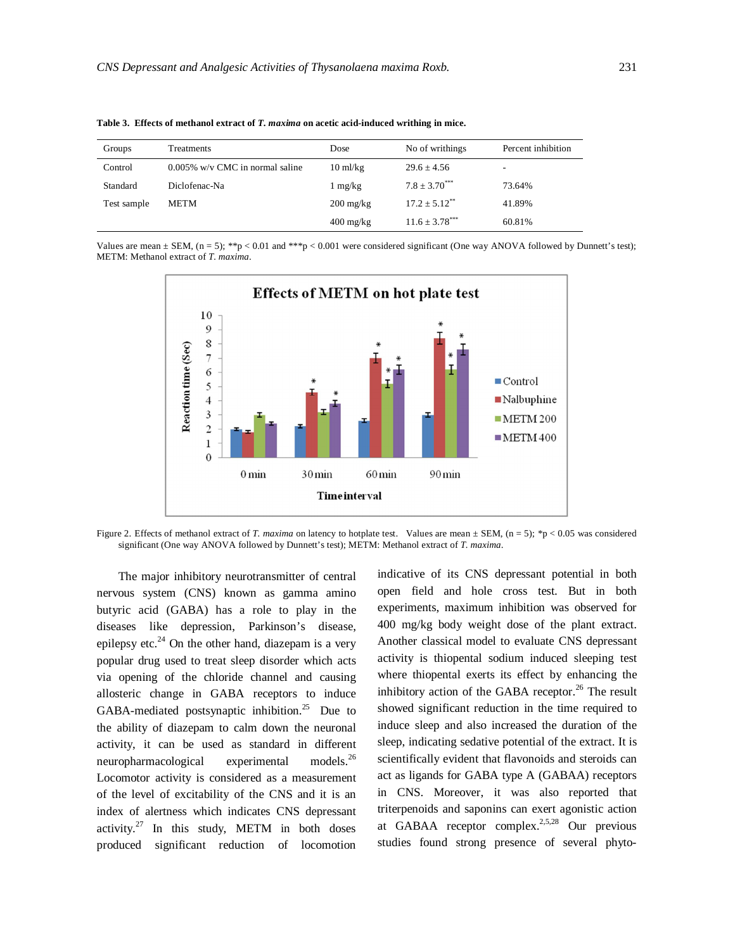| Groups      | Treatments                         | Dose                | No of writhings               | Percent inhibition       |
|-------------|------------------------------------|---------------------|-------------------------------|--------------------------|
| Control     | $0.005\%$ w/v CMC in normal saline | $10 \text{ ml/kg}$  | $29.6 \pm 4.56$               | $\overline{\phantom{a}}$ |
| Standard    | Diclofenac-Na                      | $1 \text{ mg/kg}$   | $7.8 + 3.70^{***}$            | 73.64%                   |
| Test sample | <b>METM</b>                        | $200 \text{ mg/kg}$ | $17.2 \pm 5.12$ <sup>**</sup> | 41.89%                   |
|             |                                    | $400 \text{ mg/kg}$ | $11.6 \pm 3.78$ ***           | 60.81%                   |

**Table 3. Effects of methanol extract of** *T. maxima* **on acetic acid-induced writhing in mice.**

Values are mean  $\pm$  SEM, (n = 5); \*\*p < 0.01 and \*\*\*p < 0.001 were considered significant (One way ANOVA followed by Dunnett's test); METM: Methanol extract of *T. maxima*.



Figure 2. Effects of methanol extract of *T. maxima* on latency to hotplate test. Values are mean  $\pm$  SEM, (n = 5); \*p < 0.05 was considered significant (One way ANOVA followed by Dunnett's test); METM: Methanol extract of *T. maxima*.

The major inhibitory neurotransmitter of central nervous system (CNS) known as gamma amino butyric acid (GABA) has a role to play in the diseases like depression, Parkinson's disease, epilepsy etc. $^{24}$  On the other hand, diazepam is a very popular drug used to treat sleep disorder which acts via opening of the chloride channel and causing allosteric change in GABA receptors to induce GABA-mediated postsynaptic inhibition.<sup>25</sup> Due to the ability of diazepam to calm down the neuronal activity, it can be used as standard in different neuropharmacological experimental models. $26$ Locomotor activity is considered as a measurement of the level of excitability of the CNS and it is an index of alertness which indicates CNS depressant activity.<sup>27</sup> In this study, METM in both doses produced significant reduction of locomotion

indicative of its CNS depressant potential in both open field and hole cross test. But in both experiments, maximum inhibition was observed for 400 mg/kg body weight dose of the plant extract. Another classical model to evaluate CNS depressant activity is thiopental sodium induced sleeping test where thiopental exerts its effect by enhancing the inhibitory action of the GABA receptor. $^{26}$  The result showed significant reduction in the time required to induce sleep and also increased the duration of the sleep, indicating sedative potential of the extract. It is scientifically evident that flavonoids and steroids can act as ligands for GABA type A (GABAA) receptors in CNS. Moreover, it was also reported that triterpenoids and saponins can exert agonistic action at GABAA receptor complex.<sup>2,5,28</sup> Our previous studies found strong presence of several phyto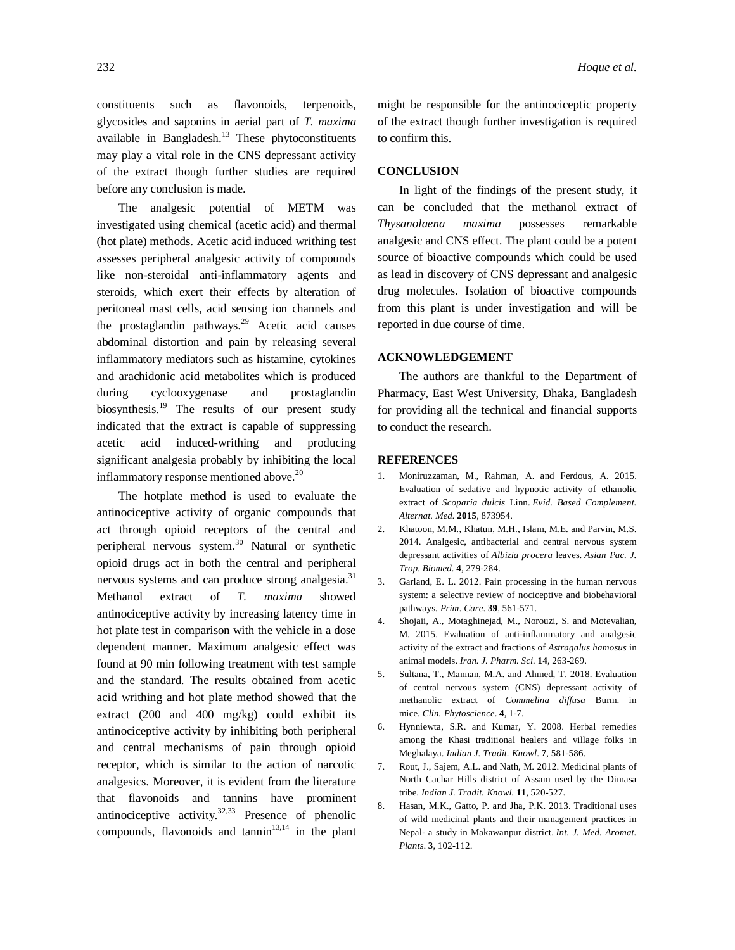constituents such as flavonoids, terpenoids, glycosides and saponins in aerial part of *T. maxima* available in Bangladesh.<sup>13</sup> These phytoconstituents may play a vital role in the CNS depressant activity of the extract though further studies are required before any conclusion is made.

The analgesic potential of METM was investigated using chemical (acetic acid) and thermal (hot plate) methods. Acetic acid induced writhing test assesses peripheral analgesic activity of compounds like non-steroidal anti-inflammatory agents and steroids, which exert their effects by alteration of peritoneal mast cells, acid sensing ion channels and the prostaglandin pathways.<sup>29</sup> Acetic acid causes abdominal distortion and pain by releasing several inflammatory mediators such as histamine, cytokines and arachidonic acid metabolites which is produced during cyclooxygenase and prostaglandin biosynthesis.<sup>19</sup> The results of our present study indicated that the extract is capable of suppressing acetic acid induced-writhing and producing significant analgesia probably by inhibiting the local inflammatory response mentioned above. 20

The hotplate method is used to evaluate the antinociceptive activity of organic compounds that act through opioid receptors of the central and peripheral nervous system. <sup>30</sup> Natural or synthetic opioid drugs act in both the central and peripheral nervous systems and can produce strong analgesia.<sup>31</sup> Methanol extract of *T. maxima* showed antinociceptive activity by increasing latency time in hot plate test in comparison with the vehicle in a dose dependent manner. Maximum analgesic effect was found at 90 min following treatment with test sample and the standard. The results obtained from acetic acid writhing and hot plate method showed that the extract (200 and 400 mg/kg) could exhibit its antinociceptive activity by inhibiting both peripheral and central mechanisms of pain through opioid receptor, which is similar to the action of narcotic analgesics. Moreover, it is evident from the literature that flavonoids and tannins have prominent antinociceptive activity.<sup>32,33</sup> Presence of phenolic compounds, flavonoids and  $tannin<sup>13,14</sup>$  in the plant

might be responsible for the antinociceptic property of the extract though further investigation is required to confirm this.

# **CONCLUSION**

In light of the findings of the present study, it can be concluded that the methanol extract of *Thysanolaena maxima* possesses remarkable analgesic and CNS effect. The plant could be a potent source of bioactive compounds which could be used as lead in discovery of CNS depressant and analgesic drug molecules. Isolation of bioactive compounds from this plant is under investigation and will be reported in due course of time.

#### **ACKNOWLEDGEMENT**

The authors are thankful to the Department of Pharmacy, East West University, Dhaka, Bangladesh for providing all the technical and financial supports to conduct the research.

#### **REFERENCES**

- 1. Moniruzzaman, M., Rahman, A. and Ferdous, A. 2015. Evaluation of sedative and hypnotic activity of ethanolic extract of *Scoparia dulcis* Linn. *Evid. Based Complement. Alternat. Med.* **2015**, 873954.
- 2. Khatoon, M.M., Khatun, M.H., Islam, M.E. and Parvin, M.S. 2014. Analgesic, antibacterial and central nervous system depressant activities of *Albizia procera* leaves. *Asian Pac. J. Trop. Biomed.* **4**, 279-284.
- 3. Garland, E. L. 2012. Pain processing in the human nervous system: a selective review of nociceptive and biobehavioral pathways. *Prim. Care*. **39**, 561-571.
- 4. Shojaii, A., Motaghinejad, M., Norouzi, S. and Motevalian, M. 2015. Evaluation of anti-inflammatory and analgesic activity of the extract and fractions of *Astragalus hamosus* in animal models. *Iran. J. Pharm. Sci.* **14**, 263-269.
- 5. Sultana, T., Mannan, M.A. and Ahmed, T. 2018. Evaluation of central nervous system (CNS) depressant activity of methanolic extract of *Commelina diffusa* Burm. in mice. *Clin. Phytoscience*. **4**, 1-7.
- 6. Hynniewta, S.R. and Kumar, Y. 2008. Herbal remedies among the Khasi traditional healers and village folks in Meghalaya. *Indian J. Tradit. Knowl*. **7**, 581-586.
- 7. Rout, J., Sajem, A.L. and Nath, M. 2012. Medicinal plants of North Cachar Hills district of Assam used by the Dimasa tribe. *Indian J. Tradit. Knowl.* **11**, 520-527.
- 8. Hasan, M.K., Gatto, P. and Jha, P.K. 2013. Traditional uses of wild medicinal plants and their management practices in Nepal- a study in Makawanpur district. *Int. J. Med. Aromat. Plants*. **3**, 102-112.